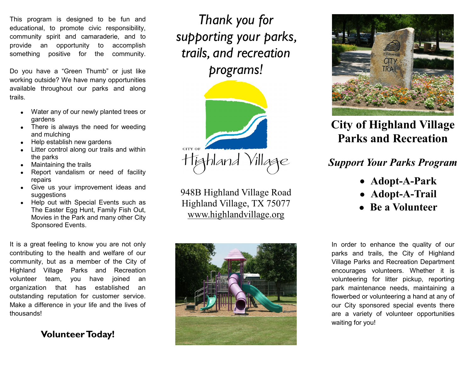This program is designed to be fun and educational, to promote civic responsibility, community spirit and camaraderie, and to provide an opportunity to accomplish something positive for the community.

Do you have a "Green Thumb" or just like working outside? We have many opportunities available throughout our parks and along trails.

- Water any of our newly planted trees or  $\bullet$ gardens
- There is always the need for weeding and mulching
- Help establish new gardens
- Litter control along our trails and within the parks
- Maintaining the trails
- Report vandalism or need of facility repairs
- Give us your improvement ideas and suggestions
- Help out with Special Events such as The Easter Egg Hunt, Family Fish Out, Movies in the Park and many other City Sponsored Events.

It is a great feeling to know you are not only contributing to the health and welfare of our community, but as a member of the City of Highland Village Parks and Recreation volunteer team, you have joined an organization that has established an outstanding reputation for customer service. Make a difference in your life and the lives of thousands!

**Volunteer Today!**

*Thank you for supporting your parks, trails, and recreation programs!*



948B Highland Village Road Highland Village, TX 75077 www.highlandvillage.org





# **City of Highland Village Parks and Recreation**

## *Support Your Parks Program*

- **Adopt-A-Park**
- **Adopt-A-Trail**
- **Be a Volunteer**

In order to enhance the quality of our parks and trails, the City of Highland Village Parks and Recreation Department encourages volunteers. Whether it is volunteering for litter pickup, reporting park maintenance needs, maintaining a flowerbed or volunteering a hand at any of our City sponsored special events there are a variety of volunteer opportunities waiting for you!